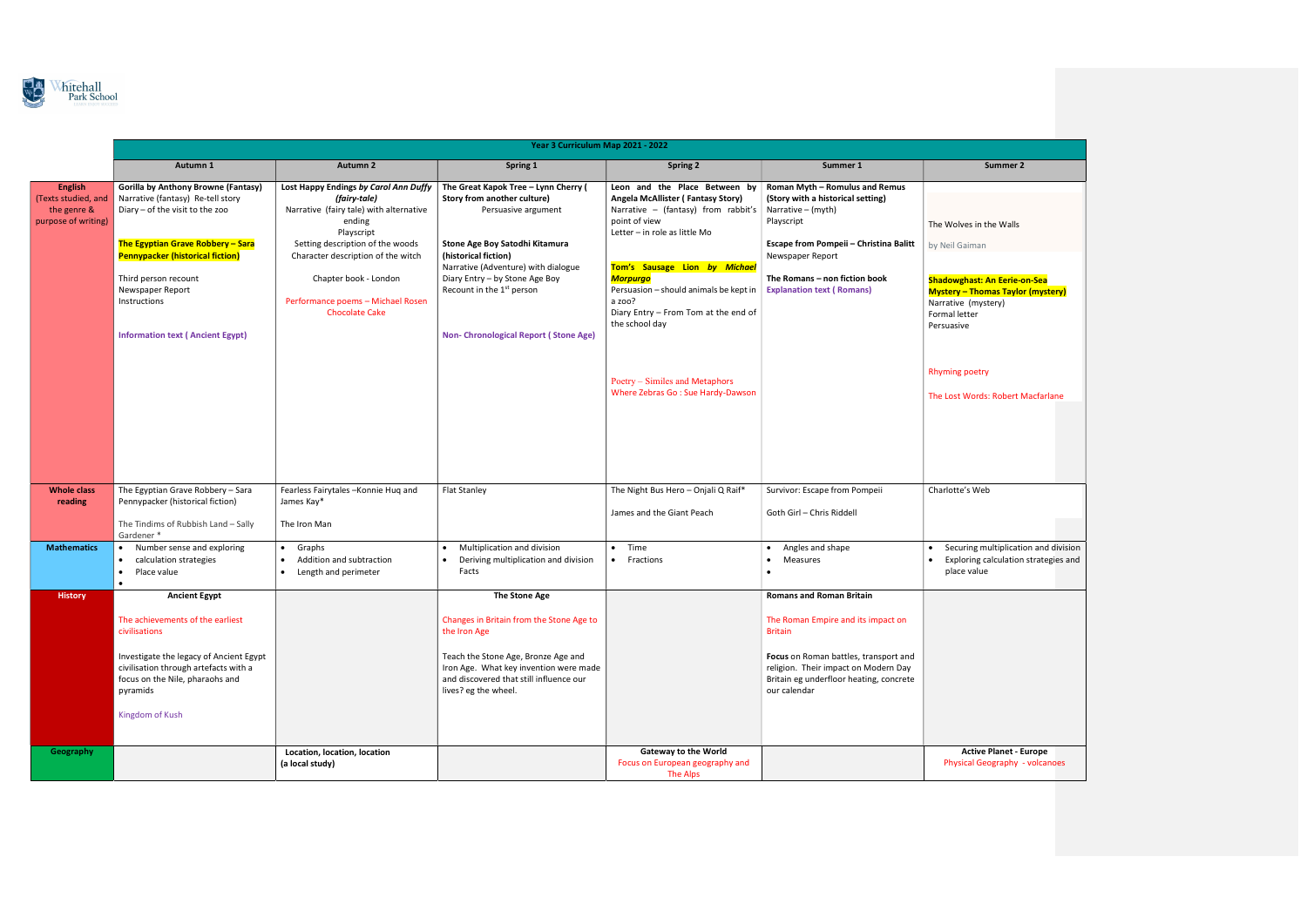

|                                                                             | Year 3 Curriculum Map 2021 - 2022                                                                                                                                                                                               |                                                                                                                          |                                                                                                                                                                                                                               |                                                                                                                                                                                        |                                                                                                                                                                                                                                     |                                                                                                                        |  |
|-----------------------------------------------------------------------------|---------------------------------------------------------------------------------------------------------------------------------------------------------------------------------------------------------------------------------|--------------------------------------------------------------------------------------------------------------------------|-------------------------------------------------------------------------------------------------------------------------------------------------------------------------------------------------------------------------------|----------------------------------------------------------------------------------------------------------------------------------------------------------------------------------------|-------------------------------------------------------------------------------------------------------------------------------------------------------------------------------------------------------------------------------------|------------------------------------------------------------------------------------------------------------------------|--|
|                                                                             | Autumn 1                                                                                                                                                                                                                        | <b>Autumn 2</b>                                                                                                          | Spring 1                                                                                                                                                                                                                      | <b>Spring 2</b>                                                                                                                                                                        | Summer 1                                                                                                                                                                                                                            | Summer 2                                                                                                               |  |
| <b>English</b><br>(Texts studied, and<br>the genre &<br>purpose of writing) | <b>Gorilla by Anthony Browne (Fantasy)</b><br>Narrative (fantasy) Re-tell story<br>Diary - of the visit to the zoo                                                                                                              | Lost Happy Endings by Carol Ann Duffy<br>(fairy-tale)<br>Narrative (fairy tale) with alternative<br>ending<br>Playscript | The Great Kapok Tree - Lynn Cherry (<br>Story from another culture)<br>Persuasive argument                                                                                                                                    | Leon and the Place Between by<br>Angela McAllister (Fantasy Story)<br>Narrative – (fantasy) from rabbit's $\vert$ Narrative – (myth)<br>point of view<br>Letter - in role as little Mo | Roman Myth - Romulus and Remus<br>(Story with a historical setting)<br>Playscript                                                                                                                                                   | The Wolves in the Walls                                                                                                |  |
|                                                                             | The Egyptian Grave Robbery - Sara<br><b>Pennypacker (historical fiction)</b>                                                                                                                                                    | Setting description of the woods<br>Character description of the witch                                                   | Stone Age Boy Satodhi Kitamura<br>(historical fiction)                                                                                                                                                                        |                                                                                                                                                                                        | Escape from Pompeii - Christina Balitt<br>Newspaper Report                                                                                                                                                                          | by Neil Gaiman                                                                                                         |  |
|                                                                             | Third person recount<br>Newspaper Report<br>Instructions                                                                                                                                                                        | Chapter book - London<br>Performance poems - Michael Rosen<br><b>Chocolate Cake</b>                                      | Narrative (Adventure) with dialogue<br>Diary Entry - by Stone Age Boy<br>Recount in the 1 <sup>st</sup> person                                                                                                                | Tom's Sausage Lion by Michael<br><b>Morpurgo</b><br>Persuasion - should animals be kept in<br>a zoo?<br>Diary Entry - From Tom at the end of<br>the school day                         | The Romans - non fiction book<br><b>Explanation text (Romans)</b>                                                                                                                                                                   | <b>Shadowghast: An Eerie-o</b><br><b>Mystery - Thomas Taylor</b><br>Narrative (mystery)<br>Formal letter<br>Persuasive |  |
|                                                                             | <b>Information text (Ancient Egypt)</b>                                                                                                                                                                                         |                                                                                                                          | <b>Non- Chronological Report (Stone Age)</b>                                                                                                                                                                                  | Poetry – Similes and Metaphors<br>Where Zebras Go: Sue Hardy-Dawson                                                                                                                    |                                                                                                                                                                                                                                     | <b>Rhyming poetry</b><br>The Lost Words: Robert M                                                                      |  |
| <b>Whole class</b><br>reading                                               | The Egyptian Grave Robbery - Sara<br>Pennypacker (historical fiction)<br>The Tindims of Rubbish Land - Sally                                                                                                                    | Fearless Fairytales-Konnie Hug and<br>James Kay*<br>The Iron Man                                                         | <b>Flat Stanley</b>                                                                                                                                                                                                           | The Night Bus Hero - Onjali Q Raif*<br>James and the Giant Peach                                                                                                                       | Survivor: Escape from Pompeii<br>Goth Girl - Chris Riddell                                                                                                                                                                          | Charlotte's Web                                                                                                        |  |
| <b>Mathematics</b>                                                          | Gardener *<br>Number sense and exploring<br>$\bullet$<br>calculation strategies<br>$\bullet$<br>Place value<br>$\bullet$<br>$\bullet$                                                                                           | Graphs<br>$\bullet$<br>Addition and subtraction<br>$\bullet$<br>Length and perimeter<br>$\bullet$                        | Multiplication and division<br>Deriving multiplication and division<br>Facts                                                                                                                                                  | Time<br>$\bullet$<br>Fractions<br>$\bullet$                                                                                                                                            | Angles and shape<br>Measures<br>$\bullet$<br>$\bullet$                                                                                                                                                                              | Securing multiplicatio<br><b>Exploring calculation</b><br>place value                                                  |  |
| <b>History</b>                                                              | <b>Ancient Egypt</b><br>The achievements of the earliest<br>civilisations<br>Investigate the legacy of Ancient Egypt<br>civilisation through artefacts with a<br>focus on the Nile, pharaohs and<br>pyramids<br>Kingdom of Kush |                                                                                                                          | The Stone Age<br>Changes in Britain from the Stone Age to<br>the Iron Age<br>Teach the Stone Age, Bronze Age and<br>Iron Age. What key invention were made<br>and discovered that still influence our<br>lives? eg the wheel. |                                                                                                                                                                                        | <b>Romans and Roman Britain</b><br>The Roman Empire and its impact on<br><b>Britain</b><br>Focus on Roman battles, transport and<br>religion. Their impact on Modern Day<br>Britain eg underfloor heating, concrete<br>our calendar |                                                                                                                        |  |
| Geography                                                                   |                                                                                                                                                                                                                                 | Location, location, location<br>(a local study)                                                                          |                                                                                                                                                                                                                               | <b>Gateway to the World</b><br>Focus on European geography and<br>The Alps                                                                                                             |                                                                                                                                                                                                                                     | <b>Active Planet - E</b><br><b>Physical Geography -</b>                                                                |  |

| Summer 2                                                                        |  |
|---------------------------------------------------------------------------------|--|
|                                                                                 |  |
|                                                                                 |  |
|                                                                                 |  |
| The Wolves in the Walls                                                         |  |
| by Neil Gaiman                                                                  |  |
|                                                                                 |  |
|                                                                                 |  |
| <b>Shadowghast: An Eerie-on-Sea</b><br><b>Mystery - Thomas Taylor (mystery)</b> |  |
| Narrative (mystery)                                                             |  |
| Formal letter                                                                   |  |
| Persuasive                                                                      |  |
|                                                                                 |  |
|                                                                                 |  |
| <b>Rhyming poetry</b>                                                           |  |
| The Lost Words: Robert Macfarlane                                               |  |
|                                                                                 |  |
|                                                                                 |  |
|                                                                                 |  |
|                                                                                 |  |
|                                                                                 |  |
| Charlotte's Web                                                                 |  |
|                                                                                 |  |
|                                                                                 |  |
|                                                                                 |  |
| Securing multiplication and division                                            |  |
| Exploring calculation strategies and                                            |  |
| place value                                                                     |  |
|                                                                                 |  |
|                                                                                 |  |
|                                                                                 |  |
|                                                                                 |  |
|                                                                                 |  |
|                                                                                 |  |
|                                                                                 |  |
|                                                                                 |  |
|                                                                                 |  |
|                                                                                 |  |
|                                                                                 |  |
| <b>Active Planet - Europe</b><br><b>Physical Geography - volcanoes</b>          |  |
|                                                                                 |  |
|                                                                                 |  |